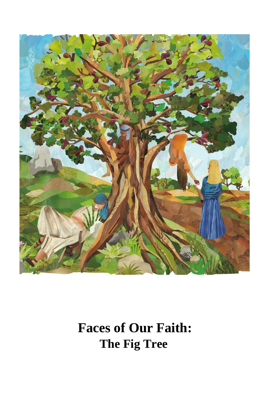

## **Faces of Our Faith: The Fig Tree**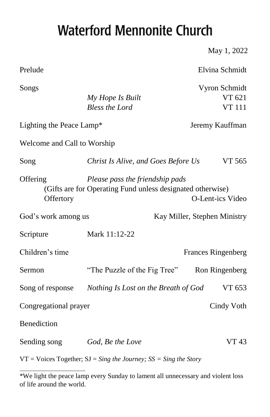## **Waterford Mennonite Church**

May 1, 2022

| Prelude                     |                                                                                               | Elvina Schmidt                           |
|-----------------------------|-----------------------------------------------------------------------------------------------|------------------------------------------|
| Songs                       | My Hope Is Built<br><b>Bless the Lord</b>                                                     | Vyron Schmidt<br>VT 621<br><b>VT 111</b> |
| Lighting the Peace Lamp*    |                                                                                               | Jeremy Kauffman                          |
| Welcome and Call to Worship |                                                                                               |                                          |
| Song                        | Christ Is Alive, and Goes Before Us                                                           | VT 565                                   |
| Offering<br>Offertory       | Please pass the friendship pads<br>(Gifts are for Operating Fund unless designated otherwise) | O-Lent-ics Video                         |
| God's work among us         |                                                                                               | Kay Miller, Stephen Ministry             |
| Scripture                   | Mark 11:12-22                                                                                 |                                          |
| Children's time             |                                                                                               | <b>Frances Ringenberg</b>                |
| Sermon                      | "The Puzzle of the Fig Tree"                                                                  | Ron Ringenberg                           |
| Song of response            | Nothing Is Lost on the Breath of God                                                          | VT 653                                   |
| Congregational prayer       |                                                                                               | Cindy Voth                               |
| Benediction                 |                                                                                               |                                          |
| Sending song                | God, Be the Love                                                                              | <b>VT43</b>                              |
| <b>THE TELL OF STRAIGHT</b> |                                                                                               |                                          |

VT = Voices Together; SJ = *Sing the Journey; SS = Sing the Story* 

<sup>\*</sup>We light the peace lamp every Sunday to lament all unnecessary and violent loss of life around the world.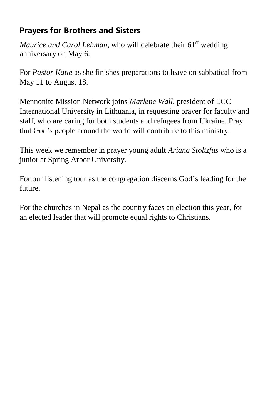## **Prayers for Brothers and Sisters**

*Maurice and Carol Lehman,* who will celebrate their 61<sup>st</sup> wedding anniversary on May 6.

For *Pastor Katie* as she finishes preparations to leave on sabbatical from May 11 to August 18.

Mennonite Mission Network joins *Marlene Wall*, president of LCC International University in Lithuania, in requesting prayer for faculty and staff, who are caring for both students and refugees from Ukraine. Pray that God's people around the world will contribute to this ministry.

This week we remember in prayer young adult *Ariana Stoltzfus* who is a junior at Spring Arbor University.

For our listening tour as the congregation discerns God's leading for the future.

For the churches in Nepal as the country faces an election this year, for an elected leader that will promote equal rights to Christians.